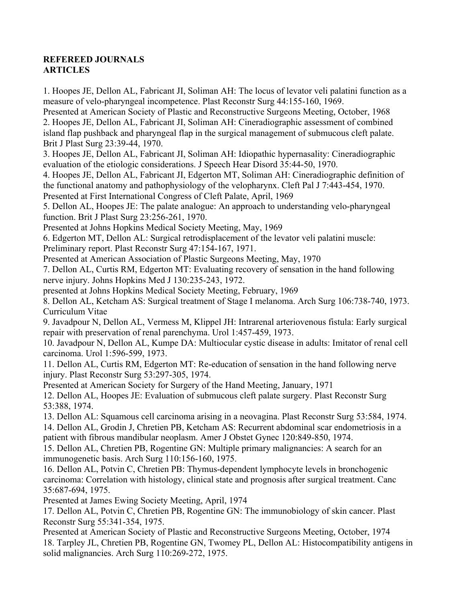## **REFEREED JOURNALS ARTICLES**

1. Hoopes JE, Dellon AL, Fabricant JI, Soliman AH: The locus of levator veli palatini function as a measure of velo-pharyngeal incompetence. Plast Reconstr Surg 44:155-160, 1969. Presented at American Society of Plastic and Reconstructive Surgeons Meeting, October, 1968 2. Hoopes JE, Dellon AL, Fabricant JI, Soliman AH: Cineradiographic assessment of combined island flap pushback and pharyngeal flap in the surgical management of submucous cleft palate. Brit J Plast Surg 23:39-44, 1970. 3. Hoopes JE, Dellon AL, Fabricant JI, Soliman AH: Idiopathic hypernasality: Cineradiographic evaluation of the etiologic considerations. J Speech Hear Disord 35:44-50, 1970. 4. Hoopes JE, Dellon AL, Fabricant JI, Edgerton MT, Soliman AH: Cineradiographic definition of the functional anatomy and pathophysiology of the velopharynx. Cleft Pal J 7:443-454, 1970. Presented at First International Congress of Cleft Palate, April, 1969 5. Dellon AL, Hoopes JE: The palate analogue: An approach to understanding velo-pharyngeal function. Brit J Plast Surg 23:256-261, 1970. Presented at Johns Hopkins Medical Society Meeting, May, 1969 6. Edgerton MT, Dellon AL: Surgical retrodisplacement of the levator veli palatini muscle: Preliminary report. Plast Reconstr Surg 47:154-167, 1971. Presented at American Association of Plastic Surgeons Meeting, May, 1970 7. Dellon AL, Curtis RM, Edgerton MT: Evaluating recovery of sensation in the hand following nerve injury. Johns Hopkins Med J 130:235-243, 1972. presented at Johns Hopkins Medical Society Meeting, February, 1969 8. Dellon AL, Ketcham AS: Surgical treatment of Stage I melanoma. Arch Surg 106:738-740, 1973. Curriculum Vitae 9. Javadpour N, Dellon AL, Vermess M, Klippel JH: Intrarenal arteriovenous fistula: Early surgical repair with preservation of renal parenchyma. Urol 1:457-459, 1973.

10. Javadpour N, Dellon AL, Kumpe DA: Multiocular cystic disease in adults: Imitator of renal cell carcinoma. Urol 1:596-599, 1973.

11. Dellon AL, Curtis RM, Edgerton MT: Re-education of sensation in the hand following nerve injury. Plast Reconstr Surg 53:297-305, 1974.

Presented at American Society for Surgery of the Hand Meeting, January, 1971

12. Dellon AL, Hoopes JE: Evaluation of submucous cleft palate surgery. Plast Reconstr Surg 53:388, 1974.

13. Dellon AL: Squamous cell carcinoma arising in a neovagina. Plast Reconstr Surg 53:584, 1974. 14. Dellon AL, Grodin J, Chretien PB, Ketcham AS: Recurrent abdominal scar endometriosis in a patient with fibrous mandibular neoplasm. Amer J Obstet Gynec 120:849-850, 1974.

15. Dellon AL, Chretien PB, Rogentine GN: Multiple primary malignancies: A search for an immunogenetic basis. Arch Surg 110:156-160, 1975.

16. Dellon AL, Potvin C, Chretien PB: Thymus-dependent lymphocyte levels in bronchogenic carcinoma: Correlation with histology, clinical state and prognosis after surgical treatment. Canc 35:687-694, 1975.

Presented at James Ewing Society Meeting, April, 1974

17. Dellon AL, Potvin C, Chretien PB, Rogentine GN: The immunobiology of skin cancer. Plast Reconstr Surg 55:341-354, 1975.

Presented at American Society of Plastic and Reconstructive Surgeons Meeting, October, 1974 18. Tarpley JL, Chretien PB, Rogentine GN, Twomey PL, Dellon AL: Histocompatibility antigens in solid malignancies. Arch Surg 110:269-272, 1975.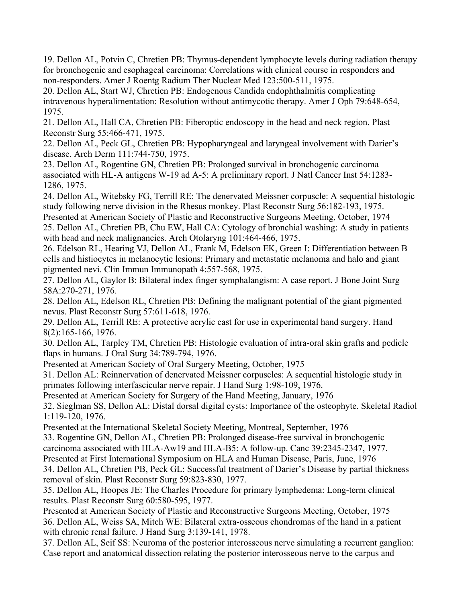19. Dellon AL, Potvin C, Chretien PB: Thymus-dependent lymphocyte levels during radiation therapy for bronchogenic and esophageal carcinoma: Correlations with clinical course in responders and non-responders. Amer J Roentg Radium Ther Nuclear Med 123:500-511, 1975.

20. Dellon AL, Start WJ, Chretien PB: Endogenous Candida endophthalmitis complicating intravenous hyperalimentation: Resolution without antimycotic therapy. Amer J Oph 79:648-654, 1975.

21. Dellon AL, Hall CA, Chretien PB: Fiberoptic endoscopy in the head and neck region. Plast Reconstr Surg 55:466-471, 1975.

22. Dellon AL, Peck GL, Chretien PB: Hypopharyngeal and laryngeal involvement with Darier's disease. Arch Derm 111:744-750, 1975.

23. Dellon AL, Rogentine GN, Chretien PB: Prolonged survival in bronchogenic carcinoma associated with HL-A antigens W-19 ad A-5: A preliminary report. J Natl Cancer Inst 54:1283- 1286, 1975.

24. Dellon AL, Witebsky FG, Terrill RE: The denervated Meissner corpuscle: A sequential histologic study following nerve division in the Rhesus monkey. Plast Reconstr Surg 56:182-193, 1975.

Presented at American Society of Plastic and Reconstructive Surgeons Meeting, October, 1974 25. Dellon AL, Chretien PB, Chu EW, Hall CA: Cytology of bronchial washing: A study in patients with head and neck malignancies. Arch Otolaryng 101:464-466, 1975.

26. Edelson RL, Hearing VJ, Dellon AL, Frank M, Edelson EK, Green I: Differentiation between B cells and histiocytes in melanocytic lesions: Primary and metastatic melanoma and halo and giant pigmented nevi. Clin Immun Immunopath 4:557-568, 1975.

27. Dellon AL, Gaylor B: Bilateral index finger symphalangism: A case report. J Bone Joint Surg 58A:270-271, 1976.

28. Dellon AL, Edelson RL, Chretien PB: Defining the malignant potential of the giant pigmented nevus. Plast Reconstr Surg 57:611-618, 1976.

29. Dellon AL, Terrill RE: A protective acrylic cast for use in experimental hand surgery. Hand 8(2):165-166, 1976.

30. Dellon AL, Tarpley TM, Chretien PB: Histologic evaluation of intra-oral skin grafts and pedicle flaps in humans. J Oral Surg 34:789-794, 1976.

Presented at American Society of Oral Surgery Meeting, October, 1975

31. Dellon AL: Reinnervation of denervated Meissner corpuscles: A sequential histologic study in primates following interfascicular nerve repair. J Hand Surg 1:98-109, 1976.

Presented at American Society for Surgery of the Hand Meeting, January, 1976

32. Sieglman SS, Dellon AL: Distal dorsal digital cysts: Importance of the osteophyte. Skeletal Radiol 1:119-120, 1976.

Presented at the International Skeletal Society Meeting, Montreal, September, 1976

33. Rogentine GN, Dellon AL, Chretien PB: Prolonged disease-free survival in bronchogenic carcinoma associated with HLA-Aw19 and HLA-B5: A follow-up. Canc 39:2345-2347, 1977.

Presented at First International Symposium on HLA and Human Disease, Paris, June, 1976

34. Dellon AL, Chretien PB, Peck GL: Successful treatment of Darier's Disease by partial thickness removal of skin. Plast Reconstr Surg 59:823-830, 1977.

35. Dellon AL, Hoopes JE: The Charles Procedure for primary lymphedema: Long-term clinical results. Plast Reconstr Surg 60:580-595, 1977.

Presented at American Society of Plastic and Reconstructive Surgeons Meeting, October, 1975 36. Dellon AL, Weiss SA, Mitch WE: Bilateral extra-osseous chondromas of the hand in a patient with chronic renal failure. J Hand Surg 3:139-141, 1978.

37. Dellon AL, Seif SS: Neuroma of the posterior interosseous nerve simulating a recurrent ganglion: Case report and anatomical dissection relating the posterior interosseous nerve to the carpus and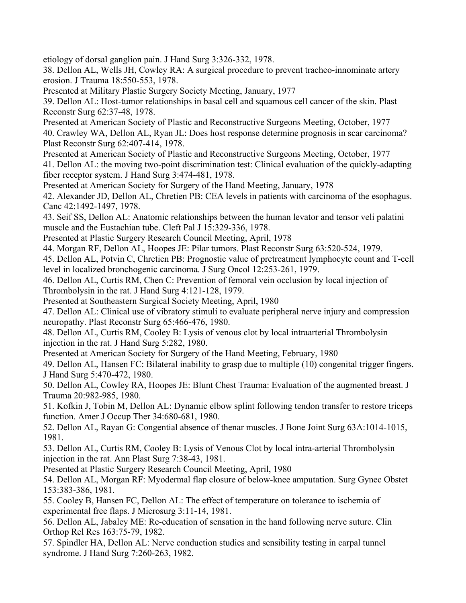etiology of dorsal ganglion pain. J Hand Surg 3:326-332, 1978.

38. Dellon AL, Wells JH, Cowley RA: A surgical procedure to prevent tracheo-innominate artery erosion. J Trauma 18:550-553, 1978.

Presented at Military Plastic Surgery Society Meeting, January, 1977

39. Dellon AL: Host-tumor relationships in basal cell and squamous cell cancer of the skin. Plast Reconstr Surg 62:37-48, 1978.

Presented at American Society of Plastic and Reconstructive Surgeons Meeting, October, 1977 40. Crawley WA, Dellon AL, Ryan JL: Does host response determine prognosis in scar carcinoma? Plast Reconstr Surg 62:407-414, 1978.

Presented at American Society of Plastic and Reconstructive Surgeons Meeting, October, 1977 41. Dellon AL: the moving two-point discrimination test: Clinical evaluation of the quickly-adapting fiber receptor system. J Hand Surg 3:474-481, 1978.

Presented at American Society for Surgery of the Hand Meeting, January, 1978

42. Alexander JD, Dellon AL, Chretien PB: CEA levels in patients with carcinoma of the esophagus. Canc 42:1492-1497, 1978.

43. Seif SS, Dellon AL: Anatomic relationships between the human levator and tensor veli palatini muscle and the Eustachian tube. Cleft Pal J 15:329-336, 1978.

Presented at Plastic Surgery Research Council Meeting, April, 1978

44. Morgan RF, Dellon AL, Hoopes JE: Pilar tumors. Plast Reconstr Surg 63:520-524, 1979.

45. Dellon AL, Potvin C, Chretien PB: Prognostic value of pretreatment lymphocyte count and T-cell level in localized bronchogenic carcinoma. J Surg Oncol 12:253-261, 1979.

46. Dellon AL, Curtis RM, Chen C: Prevention of femoral vein occlusion by local injection of Thrombolysin in the rat. J Hand Surg 4:121-128, 1979.

Presented at Southeastern Surgical Society Meeting, April, 1980

47. Dellon AL: Clinical use of vibratory stimuli to evaluate peripheral nerve injury and compression neuropathy. Plast Reconstr Surg 65:466-476, 1980.

48. Dellon AL, Curtis RM, Cooley B: Lysis of venous clot by local intraarterial Thrombolysin injection in the rat. J Hand Surg 5:282, 1980.

Presented at American Society for Surgery of the Hand Meeting, February, 1980

49. Dellon AL, Hansen FC: Bilateral inability to grasp due to multiple (10) congenital trigger fingers. J Hand Surg 5:470-472, 1980.

50. Dellon AL, Cowley RA, Hoopes JE: Blunt Chest Trauma: Evaluation of the augmented breast. J Trauma 20:982-985, 1980.

51. Kofkin J, Tobin M, Dellon AL: Dynamic elbow splint following tendon transfer to restore triceps function. Amer J Occup Ther 34:680-681, 1980.

52. Dellon AL, Rayan G: Congential absence of thenar muscles. J Bone Joint Surg 63A:1014-1015, 1981.

53. Dellon AL, Curtis RM, Cooley B: Lysis of Venous Clot by local intra-arterial Thrombolysin injection in the rat. Ann Plast Surg 7:38-43, 1981.

Presented at Plastic Surgery Research Council Meeting, April, 1980

54. Dellon AL, Morgan RF: Myodermal flap closure of below-knee amputation. Surg Gynec Obstet 153:383-386, 1981.

55. Cooley B, Hansen FC, Dellon AL: The effect of temperature on tolerance to ischemia of experimental free flaps. J Microsurg 3:11-14, 1981.

56. Dellon AL, Jabaley ME: Re-education of sensation in the hand following nerve suture. Clin Orthop Rel Res 163:75-79, 1982.

57. Spindler HA, Dellon AL: Nerve conduction studies and sensibility testing in carpal tunnel syndrome. J Hand Surg 7:260-263, 1982.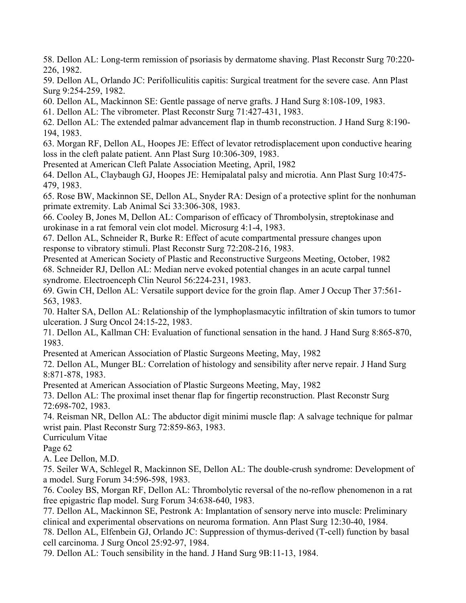58. Dellon AL: Long-term remission of psoriasis by dermatome shaving. Plast Reconstr Surg 70:220- 226, 1982.

59. Dellon AL, Orlando JC: Perifolliculitis capitis: Surgical treatment for the severe case. Ann Plast Surg 9:254-259, 1982.

60. Dellon AL, Mackinnon SE: Gentle passage of nerve grafts. J Hand Surg 8:108-109, 1983.

61. Dellon AL: The vibrometer. Plast Reconstr Surg 71:427-431, 1983.

62. Dellon AL: The extended palmar advancement flap in thumb reconstruction. J Hand Surg 8:190- 194, 1983.

63. Morgan RF, Dellon AL, Hoopes JE: Effect of levator retrodisplacement upon conductive hearing loss in the cleft palate patient. Ann Plast Surg 10:306-309, 1983.

Presented at American Cleft Palate Association Meeting, April, 1982

64. Dellon AL, Claybaugh GJ, Hoopes JE: Hemipalatal palsy and microtia. Ann Plast Surg 10:475- 479, 1983.

65. Rose BW, Mackinnon SE, Dellon AL, Snyder RA: Design of a protective splint for the nonhuman primate extremity. Lab Animal Sci 33:306-308, 1983.

66. Cooley B, Jones M, Dellon AL: Comparison of efficacy of Thrombolysin, streptokinase and urokinase in a rat femoral vein clot model. Microsurg 4:1-4, 1983.

67. Dellon AL, Schneider R, Burke R: Effect of acute compartmental pressure changes upon response to vibratory stimuli. Plast Reconstr Surg 72:208-216, 1983.

Presented at American Society of Plastic and Reconstructive Surgeons Meeting, October, 1982 68. Schneider RJ, Dellon AL: Median nerve evoked potential changes in an acute carpal tunnel syndrome. Electroenceph Clin Neurol 56:224-231, 1983.

69. Gwin CH, Dellon AL: Versatile support device for the groin flap. Amer J Occup Ther 37:561- 563, 1983.

70. Halter SA, Dellon AL: Relationship of the lymphoplasmacytic infiltration of skin tumors to tumor ulceration. J Surg Oncol 24:15-22, 1983.

71. Dellon AL, Kallman CH: Evaluation of functional sensation in the hand. J Hand Surg 8:865-870, 1983.

Presented at American Association of Plastic Surgeons Meeting, May, 1982

72. Dellon AL, Munger BL: Correlation of histology and sensibility after nerve repair. J Hand Surg 8:871-878, 1983.

Presented at American Association of Plastic Surgeons Meeting, May, 1982

73. Dellon AL: The proximal inset thenar flap for fingertip reconstruction. Plast Reconstr Surg 72:698-702, 1983.

74. Reisman NR, Dellon AL: The abductor digit minimi muscle flap: A salvage technique for palmar wrist pain. Plast Reconstr Surg 72:859-863, 1983.

Curriculum Vitae

Page 62

A. Lee Dellon, M.D.

75. Seiler WA, Schlegel R, Mackinnon SE, Dellon AL: The double-crush syndrome: Development of a model. Surg Forum 34:596-598, 1983.

76. Cooley BS, Morgan RF, Dellon AL: Thrombolytic reversal of the no-reflow phenomenon in a rat free epigastric flap model. Surg Forum 34:638-640, 1983.

77. Dellon AL, Mackinnon SE, Pestronk A: Implantation of sensory nerve into muscle: Preliminary clinical and experimental observations on neuroma formation. Ann Plast Surg 12:30-40, 1984.

78. Dellon AL, Elfenbein GJ, Orlando JC: Suppression of thymus-derived (T-cell) function by basal cell carcinoma. J Surg Oncol 25:92-97, 1984.

79. Dellon AL: Touch sensibility in the hand. J Hand Surg 9B:11-13, 1984.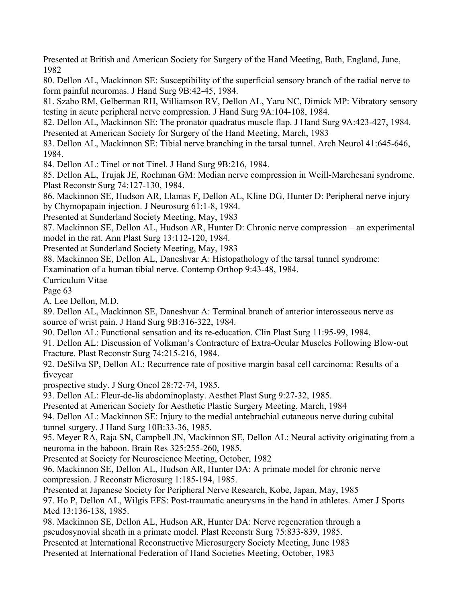Presented at British and American Society for Surgery of the Hand Meeting, Bath, England, June, 1982

80. Dellon AL, Mackinnon SE: Susceptibility of the superficial sensory branch of the radial nerve to form painful neuromas. J Hand Surg 9B:42-45, 1984.

81. Szabo RM, Gelberman RH, Williamson RV, Dellon AL, Yaru NC, Dimick MP: Vibratory sensory testing in acute peripheral nerve compression. J Hand Surg 9A:104-108, 1984.

82. Dellon AL, Mackinnon SE: The pronator quadratus muscle flap. J Hand Surg 9A:423-427, 1984. Presented at American Society for Surgery of the Hand Meeting, March, 1983

83. Dellon AL, Mackinnon SE: Tibial nerve branching in the tarsal tunnel. Arch Neurol 41:645-646, 1984.

84. Dellon AL: Tinel or not Tinel. J Hand Surg 9B:216, 1984.

85. Dellon AL, Trujak JE, Rochman GM: Median nerve compression in Weill-Marchesani syndrome. Plast Reconstr Surg 74:127-130, 1984.

86. Mackinnon SE, Hudson AR, Llamas F, Dellon AL, Kline DG, Hunter D: Peripheral nerve injury by Chymopapain injection. J Neurosurg 61:1-8, 1984.

Presented at Sunderland Society Meeting, May, 1983

87. Mackinnon SE, Dellon AL, Hudson AR, Hunter D: Chronic nerve compression – an experimental model in the rat. Ann Plast Surg 13:112-120, 1984.

Presented at Sunderland Society Meeting, May, 1983

88. Mackinnon SE, Dellon AL, Daneshvar A: Histopathology of the tarsal tunnel syndrome:

Examination of a human tibial nerve. Contemp Orthop 9:43-48, 1984.

Curriculum Vitae

Page 63

A. Lee Dellon, M.D.

89. Dellon AL, Mackinnon SE, Daneshvar A: Terminal branch of anterior interosseous nerve as source of wrist pain. J Hand Surg 9B:316-322, 1984.

90. Dellon AL: Functional sensation and its re-education. Clin Plast Surg 11:95-99, 1984.

91. Dellon AL: Discussion of Volkman's Contracture of Extra-Ocular Muscles Following Blow-out Fracture. Plast Reconstr Surg 74:215-216, 1984.

92. DeSilva SP, Dellon AL: Recurrence rate of positive margin basal cell carcinoma: Results of a fiveyear

prospective study. J Surg Oncol 28:72-74, 1985.

93. Dellon AL: Fleur-de-lis abdominoplasty. Aesthet Plast Surg 9:27-32, 1985.

Presented at American Society for Aesthetic Plastic Surgery Meeting, March, 1984

94. Dellon AL: Mackinnon SE: Injury to the medial antebrachial cutaneous nerve during cubital tunnel surgery. J Hand Surg 10B:33-36, 1985.

95. Meyer RA, Raja SN, Campbell JN, Mackinnon SE, Dellon AL: Neural activity originating from a neuroma in the baboon. Brain Res 325:255-260, 1985.

Presented at Society for Neuroscience Meeting, October, 1982

96. Mackinnon SE, Dellon AL, Hudson AR, Hunter DA: A primate model for chronic nerve compression. J Reconstr Microsurg 1:185-194, 1985.

Presented at Japanese Society for Peripheral Nerve Research, Kobe, Japan, May, 1985 97. Ho P, Dellon AL, Wilgis EFS: Post-traumatic aneurysms in the hand in athletes. Amer J Sports Med 13:136-138, 1985.

98. Mackinnon SE, Dellon AL, Hudson AR, Hunter DA: Nerve regeneration through a pseudosynovial sheath in a primate model. Plast Reconstr Surg 75:833-839, 1985.

Presented at International Reconstructive Microsurgery Society Meeting, June 1983

Presented at International Federation of Hand Societies Meeting, October, 1983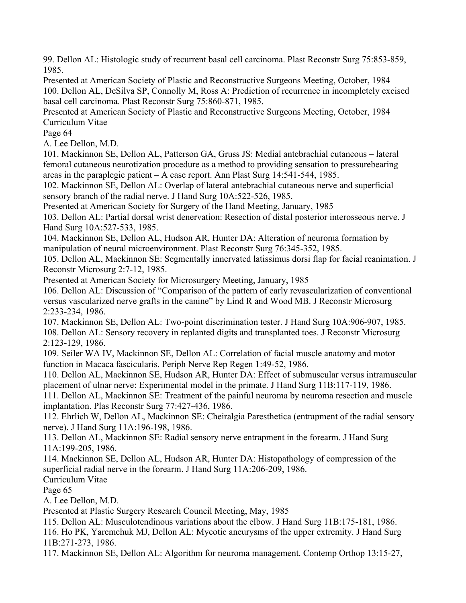99. Dellon AL: Histologic study of recurrent basal cell carcinoma. Plast Reconstr Surg 75:853-859, 1985.

Presented at American Society of Plastic and Reconstructive Surgeons Meeting, October, 1984 100. Dellon AL, DeSilva SP, Connolly M, Ross A: Prediction of recurrence in incompletely excised basal cell carcinoma. Plast Reconstr Surg 75:860-871, 1985.

Presented at American Society of Plastic and Reconstructive Surgeons Meeting, October, 1984 Curriculum Vitae

Page 64

A. Lee Dellon, M.D.

101. Mackinnon SE, Dellon AL, Patterson GA, Gruss JS: Medial antebrachial cutaneous – lateral femoral cutaneous neurotization procedure as a method to providing sensation to pressurebearing areas in the paraplegic patient – A case report. Ann Plast Surg 14:541-544, 1985.

102. Mackinnon SE, Dellon AL: Overlap of lateral antebrachial cutaneous nerve and superficial sensory branch of the radial nerve. J Hand Surg 10A:522-526, 1985.

Presented at American Society for Surgery of the Hand Meeting, January, 1985

103. Dellon AL: Partial dorsal wrist denervation: Resection of distal posterior interosseous nerve. J Hand Surg 10A:527-533, 1985.

104. Mackinnon SE, Dellon AL, Hudson AR, Hunter DA: Alteration of neuroma formation by manipulation of neural microenvironment. Plast Reconstr Surg 76:345-352, 1985.

105. Dellon AL, Mackinnon SE: Segmentally innervated latissimus dorsi flap for facial reanimation. J Reconstr Microsurg 2:7-12, 1985.

Presented at American Society for Microsurgery Meeting, January, 1985

106. Dellon AL: Discussion of "Comparison of the pattern of early revascularization of conventional versus vascularized nerve grafts in the canine" by Lind R and Wood MB. J Reconstr Microsurg 2:233-234, 1986.

107. Mackinnon SE, Dellon AL: Two-point discrimination tester. J Hand Surg 10A:906-907, 1985. 108. Dellon AL: Sensory recovery in replanted digits and transplanted toes. J Reconstr Microsurg 2:123-129, 1986.

109. Seiler WA IV, Mackinnon SE, Dellon AL: Correlation of facial muscle anatomy and motor function in Macaca fascicularis. Periph Nerve Rep Regen 1:49-52, 1986.

110. Dellon AL, Mackinnon SE, Hudson AR, Hunter DA: Effect of submuscular versus intramuscular placement of ulnar nerve: Experimental model in the primate. J Hand Surg 11B:117-119, 1986.

111. Dellon AL, Mackinnon SE: Treatment of the painful neuroma by neuroma resection and muscle implantation. Plas Reconstr Surg 77:427-436, 1986.

112. Ehrlich W, Dellon AL, Mackinnon SE: Cheiralgia Paresthetica (entrapment of the radial sensory nerve). J Hand Surg 11A:196-198, 1986.

113. Dellon AL, Mackinnon SE: Radial sensory nerve entrapment in the forearm. J Hand Surg 11A:199-205, 1986.

114. Mackinnon SE, Dellon AL, Hudson AR, Hunter DA: Histopathology of compression of the superficial radial nerve in the forearm. J Hand Surg 11A:206-209, 1986.

Curriculum Vitae

Page 65

A. Lee Dellon, M.D.

Presented at Plastic Surgery Research Council Meeting, May, 1985

115. Dellon AL: Musculotendinous variations about the elbow. J Hand Surg 11B:175-181, 1986.

116. Ho PK, Yaremchuk MJ, Dellon AL: Mycotic aneurysms of the upper extremity. J Hand Surg 11B:271-273, 1986.

117. Mackinnon SE, Dellon AL: Algorithm for neuroma management. Contemp Orthop 13:15-27,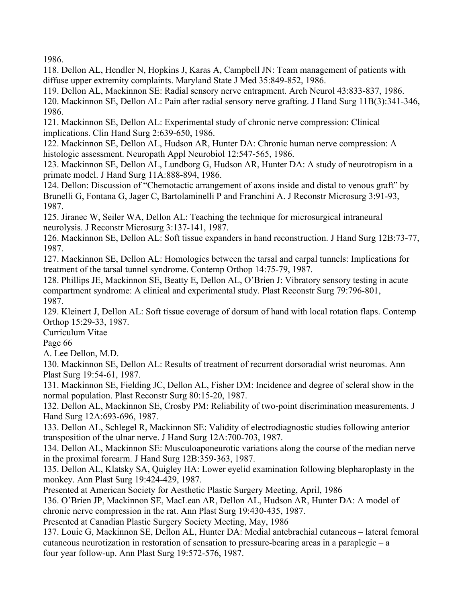1986.

118. Dellon AL, Hendler N, Hopkins J, Karas A, Campbell JN: Team management of patients with diffuse upper extremity complaints. Maryland State J Med 35:849-852, 1986.

119. Dellon AL, Mackinnon SE: Radial sensory nerve entrapment. Arch Neurol 43:833-837, 1986. 120. Mackinnon SE, Dellon AL: Pain after radial sensory nerve grafting. J Hand Surg 11B(3):341-346, 1986.

121. Mackinnon SE, Dellon AL: Experimental study of chronic nerve compression: Clinical implications. Clin Hand Surg 2:639-650, 1986.

122. Mackinnon SE, Dellon AL, Hudson AR, Hunter DA: Chronic human nerve compression: A histologic assessment. Neuropath Appl Neurobiol 12:547-565, 1986.

123. Mackinnon SE, Dellon AL, Lundborg G, Hudson AR, Hunter DA: A study of neurotropism in a primate model. J Hand Surg 11A:888-894, 1986.

124. Dellon: Discussion of "Chemotactic arrangement of axons inside and distal to venous graft" by Brunelli G, Fontana G, Jager C, Bartolaminelli P and Franchini A. J Reconstr Microsurg 3:91-93, 1987.

125. Jiranec W, Seiler WA, Dellon AL: Teaching the technique for microsurgical intraneural neurolysis. J Reconstr Microsurg 3:137-141, 1987.

126. Mackinnon SE, Dellon AL: Soft tissue expanders in hand reconstruction. J Hand Surg 12B:73-77, 1987.

127. Mackinnon SE, Dellon AL: Homologies between the tarsal and carpal tunnels: Implications for treatment of the tarsal tunnel syndrome. Contemp Orthop 14:75-79, 1987.

128. Phillips JE, Mackinnon SE, Beatty E, Dellon AL, O'Brien J: Vibratory sensory testing in acute compartment syndrome: A clinical and experimental study. Plast Reconstr Surg 79:796-801, 1987.

129. Kleinert J, Dellon AL: Soft tissue coverage of dorsum of hand with local rotation flaps. Contemp Orthop 15:29-33, 1987.

Curriculum Vitae

Page 66

A. Lee Dellon, M.D.

130. Mackinnon SE, Dellon AL: Results of treatment of recurrent dorsoradial wrist neuromas. Ann Plast Surg 19:54-61, 1987.

131. Mackinnon SE, Fielding JC, Dellon AL, Fisher DM: Incidence and degree of scleral show in the normal population. Plast Reconstr Surg 80:15-20, 1987.

132. Dellon AL, Mackinnon SE, Crosby PM: Reliability of two-point discrimination measurements. J Hand Surg 12A:693-696, 1987.

133. Dellon AL, Schlegel R, Mackinnon SE: Validity of electrodiagnostic studies following anterior transposition of the ulnar nerve. J Hand Surg 12A:700-703, 1987.

134. Dellon AL, Mackinnon SE: Musculoaponeurotic variations along the course of the median nerve in the proximal forearm. J Hand Surg 12B:359-363, 1987.

135. Dellon AL, Klatsky SA, Quigley HA: Lower eyelid examination following blepharoplasty in the monkey. Ann Plast Surg 19:424-429, 1987.

Presented at American Society for Aesthetic Plastic Surgery Meeting, April, 1986

136. O'Brien JP, Mackinnon SE, MacLean AR, Dellon AL, Hudson AR, Hunter DA: A model of

chronic nerve compression in the rat. Ann Plast Surg 19:430-435, 1987.

Presented at Canadian Plastic Surgery Society Meeting, May, 1986

137. Louie G, Mackinnon SE, Dellon AL, Hunter DA: Medial antebrachial cutaneous – lateral femoral cutaneous neurotization in restoration of sensation to pressure-bearing areas in a paraplegic – a four year follow-up. Ann Plast Surg 19:572-576, 1987.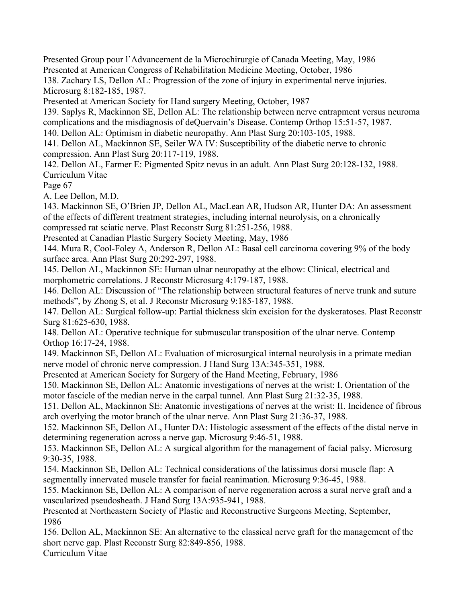Presented Group pour l'Advancement de la Microchirurgie of Canada Meeting, May, 1986 Presented at American Congress of Rehabilitation Medicine Meeting, October, 1986

138. Zachary LS, Dellon AL: Progression of the zone of injury in experimental nerve injuries. Microsurg 8:182-185, 1987.

Presented at American Society for Hand surgery Meeting, October, 1987

139. Saplys R, Mackinnon SE, Dellon AL: The relationship between nerve entrapment versus neuroma complications and the misdiagnosis of deQuervain's Disease. Contemp Orthop 15:51-57, 1987.

140. Dellon AL: Optimism in diabetic neuropathy. Ann Plast Surg 20:103-105, 1988.

141. Dellon AL, Mackinnon SE, Seiler WA IV: Susceptibility of the diabetic nerve to chronic compression. Ann Plast Surg 20:117-119, 1988.

142. Dellon AL, Farmer E: Pigmented Spitz nevus in an adult. Ann Plast Surg 20:128-132, 1988. Curriculum Vitae

Page 67

A. Lee Dellon, M.D.

143. Mackinnon SE, O'Brien JP, Dellon AL, MacLean AR, Hudson AR, Hunter DA: An assessment of the effects of different treatment strategies, including internal neurolysis, on a chronically compressed rat sciatic nerve. Plast Reconstr Surg 81:251-256, 1988.

Presented at Canadian Plastic Surgery Society Meeting, May, 1986

144. Mura R, Cool-Foley A, Anderson R, Dellon AL: Basal cell carcinoma covering 9% of the body surface area. Ann Plast Surg 20:292-297, 1988.

145. Dellon AL, Mackinnon SE: Human ulnar neuropathy at the elbow: Clinical, electrical and morphometric correlations. J Reconstr Microsurg 4:179-187, 1988.

146. Dellon AL: Discussion of "The relationship between structural features of nerve trunk and suture methods", by Zhong S, et al. J Reconstr Microsurg 9:185-187, 1988.

147. Dellon AL: Surgical follow-up: Partial thickness skin excision for the dyskeratoses. Plast Reconstr Surg 81:625-630, 1988.

148. Dellon AL: Operative technique for submuscular transposition of the ulnar nerve. Contemp Orthop 16:17-24, 1988.

149. Mackinnon SE, Dellon AL: Evaluation of microsurgical internal neurolysis in a primate median nerve model of chronic nerve compression. J Hand Surg 13A:345-351, 1988.

Presented at American Society for Surgery of the Hand Meeting, February, 1986

150. Mackinnon SE, Dellon AL: Anatomic investigations of nerves at the wrist: I. Orientation of the motor fascicle of the median nerve in the carpal tunnel. Ann Plast Surg 21:32-35, 1988.

151. Dellon AL, Mackinnon SE: Anatomic investigations of nerves at the wrist: II. Incidence of fibrous arch overlying the motor branch of the ulnar nerve. Ann Plast Surg 21:36-37, 1988.

152. Mackinnon SE, Dellon AL, Hunter DA: Histologic assessment of the effects of the distal nerve in determining regeneration across a nerve gap. Microsurg 9:46-51, 1988.

153. Mackinnon SE, Dellon AL: A surgical algorithm for the management of facial palsy. Microsurg 9:30-35, 1988.

154. Mackinnon SE, Dellon AL: Technical considerations of the latissimus dorsi muscle flap: A segmentally innervated muscle transfer for facial reanimation. Microsurg 9:36-45, 1988.

155. Mackinnon SE, Dellon AL: A comparison of nerve regeneration across a sural nerve graft and a vascularized pseudosheath. J Hand Surg 13A:935-941, 1988.

Presented at Northeastern Society of Plastic and Reconstructive Surgeons Meeting, September, 1986

156. Dellon AL, Mackinnon SE: An alternative to the classical nerve graft for the management of the short nerve gap. Plast Reconstr Surg 82:849-856, 1988.

Curriculum Vitae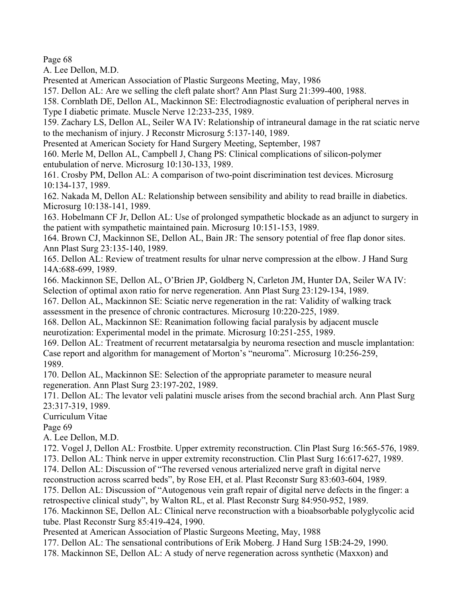Page 68

A. Lee Dellon, M.D.

Presented at American Association of Plastic Surgeons Meeting, May, 1986

157. Dellon AL: Are we selling the cleft palate short? Ann Plast Surg 21:399-400, 1988.

158. Cornblath DE, Dellon AL, Mackinnon SE: Electrodiagnostic evaluation of peripheral nerves in Type I diabetic primate. Muscle Nerve 12:233-235, 1989.

159. Zachary LS, Dellon AL, Seiler WA IV: Relationship of intraneural damage in the rat sciatic nerve to the mechanism of injury. J Reconstr Microsurg 5:137-140, 1989.

Presented at American Society for Hand Surgery Meeting, September, 1987

160. Merle M, Dellon AL, Campbell J, Chang PS: Clinical complications of silicon-polymer entubulation of nerve. Microsurg 10:130-133, 1989.

161. Crosby PM, Dellon AL: A comparison of two-point discrimination test devices. Microsurg 10:134-137, 1989.

162. Nakada M, Dellon AL: Relationship between sensibility and ability to read braille in diabetics. Microsurg 10:138-141, 1989.

163. Hobelmann CF Jr, Dellon AL: Use of prolonged sympathetic blockade as an adjunct to surgery in the patient with sympathetic maintained pain. Microsurg 10:151-153, 1989.

164. Brown CJ, Mackinnon SE, Dellon AL, Bain JR: The sensory potential of free flap donor sites. Ann Plast Surg 23:135-140, 1989.

165. Dellon AL: Review of treatment results for ulnar nerve compression at the elbow. J Hand Surg 14A:688-699, 1989.

166. Mackinnon SE, Dellon AL, O'Brien JP, Goldberg N, Carleton JM, Hunter DA, Seiler WA IV: Selection of optimal axon ratio for nerve regeneration. Ann Plast Surg 23:129-134, 1989.

167. Dellon AL, Mackinnon SE: Sciatic nerve regeneration in the rat: Validity of walking track assessment in the presence of chronic contractures. Microsurg 10:220-225, 1989.

168. Dellon AL, Mackinnon SE: Reanimation following facial paralysis by adjacent muscle neurotization: Experimental model in the primate. Microsurg 10:251-255, 1989.

169. Dellon AL: Treatment of recurrent metatarsalgia by neuroma resection and muscle implantation: Case report and algorithm for management of Morton's "neuroma". Microsurg 10:256-259, 1989.

170. Dellon AL, Mackinnon SE: Selection of the appropriate parameter to measure neural regeneration. Ann Plast Surg 23:197-202, 1989.

171. Dellon AL: The levator veli palatini muscle arises from the second brachial arch. Ann Plast Surg 23:317-319, 1989.

Curriculum Vitae

Page 69

A. Lee Dellon, M.D.

172. Vogel J, Dellon AL: Frostbite. Upper extremity reconstruction. Clin Plast Surg 16:565-576, 1989.

173. Dellon AL: Think nerve in upper extremity reconstruction. Clin Plast Surg 16:617-627, 1989.

174. Dellon AL: Discussion of "The reversed venous arterialized nerve graft in digital nerve

reconstruction across scarred beds", by Rose EH, et al. Plast Reconstr Surg 83:603-604, 1989.

175. Dellon AL: Discussion of "Autogenous vein graft repair of digital nerve defects in the finger: a retrospective clinical study", by Walton RL, et al. Plast Reconstr Surg 84:950-952, 1989.

176. Mackinnon SE, Dellon AL: Clinical nerve reconstruction with a bioabsorbable polyglycolic acid tube. Plast Reconstr Surg 85:419-424, 1990.

Presented at American Association of Plastic Surgeons Meeting, May, 1988

177. Dellon AL: The sensational contributions of Erik Moberg. J Hand Surg 15B:24-29, 1990.

178. Mackinnon SE, Dellon AL: A study of nerve regeneration across synthetic (Maxxon) and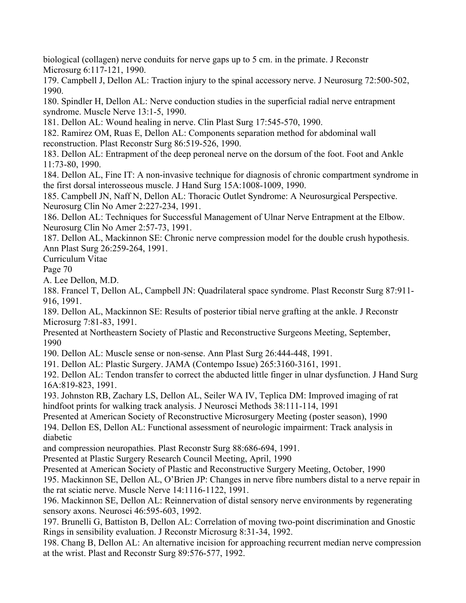biological (collagen) nerve conduits for nerve gaps up to 5 cm. in the primate. J Reconstr Microsurg 6:117-121, 1990.

179. Campbell J, Dellon AL: Traction injury to the spinal accessory nerve. J Neurosurg 72:500-502, 1990.

180. Spindler H, Dellon AL: Nerve conduction studies in the superficial radial nerve entrapment syndrome. Muscle Nerve 13:1-5, 1990.

181. Dellon AL: Wound healing in nerve. Clin Plast Surg 17:545-570, 1990.

182. Ramirez OM, Ruas E, Dellon AL: Components separation method for abdominal wall reconstruction. Plast Reconstr Surg 86:519-526, 1990.

183. Dellon AL: Entrapment of the deep peroneal nerve on the dorsum of the foot. Foot and Ankle 11:73-80, 1990.

184. Dellon AL, Fine IT: A non-invasive technique for diagnosis of chronic compartment syndrome in the first dorsal interosseous muscle. J Hand Surg 15A:1008-1009, 1990.

185. Campbell JN, Naff N, Dellon AL: Thoracic Outlet Syndrome: A Neurosurgical Perspective. Neurosurg Clin No Amer 2:227-234, 1991.

186. Dellon AL: Techniques for Successful Management of Ulnar Nerve Entrapment at the Elbow. Neurosurg Clin No Amer 2:57-73, 1991.

187. Dellon AL, Mackinnon SE: Chronic nerve compression model for the double crush hypothesis. Ann Plast Surg 26:259-264, 1991.

Curriculum Vitae

Page 70

A. Lee Dellon, M.D.

188. Francel T, Dellon AL, Campbell JN: Quadrilateral space syndrome. Plast Reconstr Surg 87:911- 916, 1991.

189. Dellon AL, Mackinnon SE: Results of posterior tibial nerve grafting at the ankle. J Reconstr Microsurg 7:81-83, 1991.

Presented at Northeastern Society of Plastic and Reconstructive Surgeons Meeting, September, 1990

190. Dellon AL: Muscle sense or non-sense. Ann Plast Surg 26:444-448, 1991.

191. Dellon AL: Plastic Surgery. JAMA (Contempo Issue) 265:3160-3161, 1991.

192. Dellon AL: Tendon transfer to correct the abducted little finger in ulnar dysfunction. J Hand Surg 16A:819-823, 1991.

193. Johnston RB, Zachary LS, Dellon AL, Seiler WA IV, Teplica DM: Improved imaging of rat hindfoot prints for walking track analysis. J Neurosci Methods 38:111-114, 1991

Presented at American Society of Reconstructive Microsurgery Meeting (poster season), 1990 194. Dellon ES, Dellon AL: Functional assessment of neurologic impairment: Track analysis in diabetic

and compression neuropathies. Plast Reconstr Surg 88:686-694, 1991.

Presented at Plastic Surgery Research Council Meeting, April, 1990

Presented at American Society of Plastic and Reconstructive Surgery Meeting, October, 1990

195. Mackinnon SE, Dellon AL, O'Brien JP: Changes in nerve fibre numbers distal to a nerve repair in the rat sciatic nerve. Muscle Nerve 14:1116-1122, 1991.

196. Mackinnon SE, Dellon AL: Reinnervation of distal sensory nerve environments by regenerating sensory axons. Neurosci 46:595-603, 1992.

197. Brunelli G, Battiston B, Dellon AL: Correlation of moving two-point discrimination and Gnostic Rings in sensibility evaluation. J Reconstr Microsurg 8:31-34, 1992.

198. Chang B, Dellon AL: An alternative incision for approaching recurrent median nerve compression at the wrist. Plast and Reconstr Surg 89:576-577, 1992.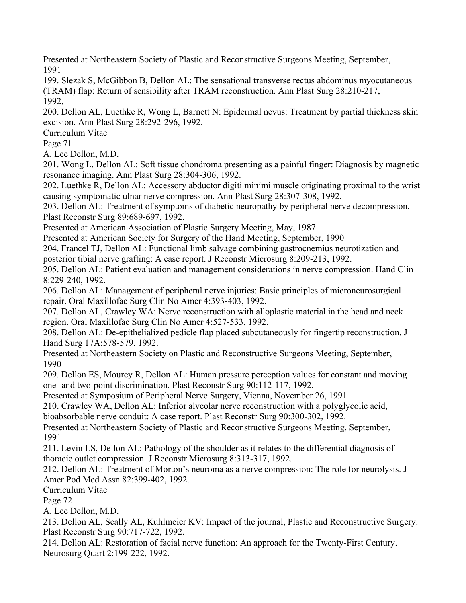Presented at Northeastern Society of Plastic and Reconstructive Surgeons Meeting, September, 1991

199. Slezak S, McGibbon B, Dellon AL: The sensational transverse rectus abdominus myocutaneous (TRAM) flap: Return of sensibility after TRAM reconstruction. Ann Plast Surg 28:210-217, 1992.

200. Dellon AL, Luethke R, Wong L, Barnett N: Epidermal nevus: Treatment by partial thickness skin excision. Ann Plast Surg 28:292-296, 1992.

Curriculum Vitae

Page 71

A. Lee Dellon, M.D.

201. Wong L. Dellon AL: Soft tissue chondroma presenting as a painful finger: Diagnosis by magnetic resonance imaging. Ann Plast Surg 28:304-306, 1992.

202. Luethke R, Dellon AL: Accessory abductor digiti minimi muscle originating proximal to the wrist causing symptomatic ulnar nerve compression. Ann Plast Surg 28:307-308, 1992.

203. Dellon AL: Treatment of symptoms of diabetic neuropathy by peripheral nerve decompression. Plast Reconstr Surg 89:689-697, 1992.

Presented at American Association of Plastic Surgery Meeting, May, 1987

Presented at American Society for Surgery of the Hand Meeting, September, 1990

204. Francel TJ, Dellon AL: Functional limb salvage combining gastrocnemius neurotization and posterior tibial nerve grafting: A case report. J Reconstr Microsurg 8:209-213, 1992.

205. Dellon AL: Patient evaluation and management considerations in nerve compression. Hand Clin 8:229-240, 1992.

206. Dellon AL: Management of peripheral nerve injuries: Basic principles of microneurosurgical repair. Oral Maxillofac Surg Clin No Amer 4:393-403, 1992.

207. Dellon AL, Crawley WA: Nerve reconstruction with alloplastic material in the head and neck region. Oral Maxillofac Surg Clin No Amer 4:527-533, 1992.

208. Dellon AL: De-epithelialized pedicle flap placed subcutaneously for fingertip reconstruction. J Hand Surg 17A:578-579, 1992.

Presented at Northeastern Society on Plastic and Reconstructive Surgeons Meeting, September, 1990

209. Dellon ES, Mourey R, Dellon AL: Human pressure perception values for constant and moving one- and two-point discrimination. Plast Reconstr Surg 90:112-117, 1992.

Presented at Symposium of Peripheral Nerve Surgery, Vienna, November 26, 1991

210. Crawley WA, Dellon AL: Inferior alveolar nerve reconstruction with a polyglycolic acid, bioabsorbable nerve conduit: A case report. Plast Reconstr Surg 90:300-302, 1992.

Presented at Northeastern Society of Plastic and Reconstructive Surgeons Meeting, September, 1991

211. Levin LS, Dellon AL: Pathology of the shoulder as it relates to the differential diagnosis of thoracic outlet compression. J Reconstr Microsurg 8:313-317, 1992.

212. Dellon AL: Treatment of Morton's neuroma as a nerve compression: The role for neurolysis. J Amer Pod Med Assn 82:399-402, 1992.

Curriculum Vitae

Page 72

A. Lee Dellon, M.D.

213. Dellon AL, Scally AL, Kuhlmeier KV: Impact of the journal, Plastic and Reconstructive Surgery. Plast Reconstr Surg 90:717-722, 1992.

214. Dellon AL: Restoration of facial nerve function: An approach for the Twenty-First Century. Neurosurg Quart 2:199-222, 1992.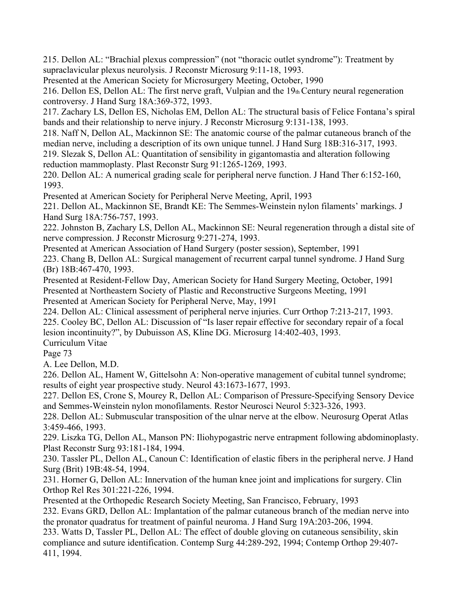215. Dellon AL: "Brachial plexus compression" (not "thoracic outlet syndrome"): Treatment by supraclavicular plexus neurolysis. J Reconstr Microsurg 9:11-18, 1993.

Presented at the American Society for Microsurgery Meeting, October, 1990

216. Dellon ES, Dellon AL: The first nerve graft, Vulpian and the 19th Century neural regeneration controversy. J Hand Surg 18A:369-372, 1993.

217. Zachary LS, Dellon ES, Nicholas EM, Dellon AL: The structural basis of Felice Fontana's spiral bands and their relationship to nerve injury. J Reconstr Microsurg 9:131-138, 1993.

218. Naff N, Dellon AL, Mackinnon SE: The anatomic course of the palmar cutaneous branch of the median nerve, including a description of its own unique tunnel. J Hand Surg 18B:316-317, 1993.

219. Slezak S, Dellon AL: Quantitation of sensibility in gigantomastia and alteration following reduction mammoplasty. Plast Reconstr Surg 91:1265-1269, 1993.

220. Dellon AL: A numerical grading scale for peripheral nerve function. J Hand Ther 6:152-160, 1993.

Presented at American Society for Peripheral Nerve Meeting, April, 1993

221. Dellon AL, Mackinnon SE, Brandt KE: The Semmes-Weinstein nylon filaments' markings. J Hand Surg 18A:756-757, 1993.

222. Johnston B, Zachary LS, Dellon AL, Mackinnon SE: Neural regeneration through a distal site of nerve compression. J Reconstr Microsurg 9:271-274, 1993.

Presented at American Association of Hand Surgery (poster session), September, 1991

223. Chang B, Dellon AL: Surgical management of recurrent carpal tunnel syndrome. J Hand Surg (Br) 18B:467-470, 1993.

Presented at Resident-Fellow Day, American Society for Hand Surgery Meeting, October, 1991 Presented at Northeastern Society of Plastic and Reconstructive Surgeons Meeting, 1991 Presented at American Society for Peripheral Nerve, May, 1991

224. Dellon AL: Clinical assessment of peripheral nerve injuries. Curr Orthop 7:213-217, 1993. 225. Cooley BC, Dellon AL: Discussion of "Is laser repair effective for secondary repair of a focal lesion incontinuity?", by Dubuisson AS, Kline DG. Microsurg 14:402-403, 1993. Curriculum Vitae

Page 73

A. Lee Dellon, M.D.

226. Dellon AL, Hament W, Gittelsohn A: Non-operative management of cubital tunnel syndrome; results of eight year prospective study. Neurol 43:1673-1677, 1993.

227. Dellon ES, Crone S, Mourey R, Dellon AL: Comparison of Pressure-Specifying Sensory Device and Semmes-Weinstein nylon monofilaments. Restor Neurosci Neurol 5:323-326, 1993.

228. Dellon AL: Submuscular transposition of the ulnar nerve at the elbow. Neurosurg Operat Atlas 3:459-466, 1993.

229. Liszka TG, Dellon AL, Manson PN: Iliohypogastric nerve entrapment following abdominoplasty. Plast Reconstr Surg 93:181-184, 1994.

230. Tassler PL, Dellon AL, Canoun C: Identification of elastic fibers in the peripheral nerve. J Hand Surg (Brit) 19B:48-54, 1994.

231. Horner G, Dellon AL: Innervation of the human knee joint and implications for surgery. Clin Orthop Rel Res 301:221-226, 1994.

Presented at the Orthopedic Research Society Meeting, San Francisco, February, 1993 232. Evans GRD, Dellon AL: Implantation of the palmar cutaneous branch of the median nerve into

the pronator quadratus for treatment of painful neuroma. J Hand Surg 19A:203-206, 1994.

233. Watts D, Tassler PL, Dellon AL: The effect of double gloving on cutaneous sensibility, skin compliance and suture identification. Contemp Surg 44:289-292, 1994; Contemp Orthop 29:407- 411, 1994.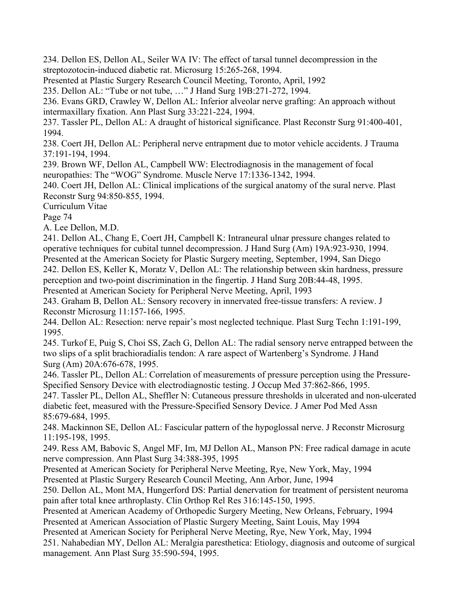234. Dellon ES, Dellon AL, Seiler WA IV: The effect of tarsal tunnel decompression in the streptozotocin-induced diabetic rat. Microsurg 15:265-268, 1994.

Presented at Plastic Surgery Research Council Meeting, Toronto, April, 1992

235. Dellon AL: "Tube or not tube, …" J Hand Surg 19B:271-272, 1994.

236. Evans GRD, Crawley W, Dellon AL: Inferior alveolar nerve grafting: An approach without intermaxillary fixation. Ann Plast Surg 33:221-224, 1994.

237. Tassler PL, Dellon AL: A draught of historical significance. Plast Reconstr Surg 91:400-401, 1994.

238. Coert JH, Dellon AL: Peripheral nerve entrapment due to motor vehicle accidents. J Trauma 37:191-194, 1994.

239. Brown WF, Dellon AL, Campbell WW: Electrodiagnosis in the management of focal neuropathies: The "WOG" Syndrome. Muscle Nerve 17:1336-1342, 1994.

240. Coert JH, Dellon AL: Clinical implications of the surgical anatomy of the sural nerve. Plast Reconstr Surg 94:850-855, 1994.

Curriculum Vitae

Page 74

A. Lee Dellon, M.D.

241. Dellon AL, Chang E, Coert JH, Campbell K: Intraneural ulnar pressure changes related to operative techniques for cubital tunnel decompression. J Hand Surg (Am) 19A:923-930, 1994. Presented at the American Society for Plastic Surgery meeting, September, 1994, San Diego

242. Dellon ES, Keller K, Moratz V, Dellon AL: The relationship between skin hardness, pressure perception and two-point discrimination in the fingertip. J Hand Surg 20B:44-48, 1995.

Presented at American Society for Peripheral Nerve Meeting, April, 1993

243. Graham B, Dellon AL: Sensory recovery in innervated free-tissue transfers: A review. J Reconstr Microsurg 11:157-166, 1995.

244. Dellon AL: Resection: nerve repair's most neglected technique. Plast Surg Techn 1:191-199, 1995.

245. Turkof E, Puig S, Choi SS, Zach G, Dellon AL: The radial sensory nerve entrapped between the two slips of a split brachioradialis tendon: A rare aspect of Wartenberg's Syndrome. J Hand Surg (Am) 20A:676-678, 1995.

246. Tassler PL, Dellon AL: Correlation of measurements of pressure perception using the Pressure-Specified Sensory Device with electrodiagnostic testing. J Occup Med 37:862-866, 1995.

247. Tassler PL, Dellon AL, Sheffler N: Cutaneous pressure thresholds in ulcerated and non-ulcerated diabetic feet, measured with the Pressure-Specified Sensory Device. J Amer Pod Med Assn 85:679-684, 1995.

248. Mackinnon SE, Dellon AL: Fascicular pattern of the hypoglossal nerve. J Reconstr Microsurg 11:195-198, 1995.

249. Ress AM, Babovic S, Angel MF, Im, MJ Dellon AL, Manson PN: Free radical damage in acute nerve compression. Ann Plast Surg 34:388-395, 1995

Presented at American Society for Peripheral Nerve Meeting, Rye, New York, May, 1994 Presented at Plastic Surgery Research Council Meeting, Ann Arbor, June, 1994

250. Dellon AL, Mont MA, Hungerford DS: Partial denervation for treatment of persistent neuroma pain after total knee arthroplasty. Clin Orthop Rel Res 316:145-150, 1995.

Presented at American Academy of Orthopedic Surgery Meeting, New Orleans, February, 1994

Presented at American Association of Plastic Surgery Meeting, Saint Louis, May 1994

Presented at American Society for Peripheral Nerve Meeting, Rye, New York, May, 1994

251. Nahabedian MY, Dellon AL: Meralgia paresthetica: Etiology, diagnosis and outcome of surgical management. Ann Plast Surg 35:590-594, 1995.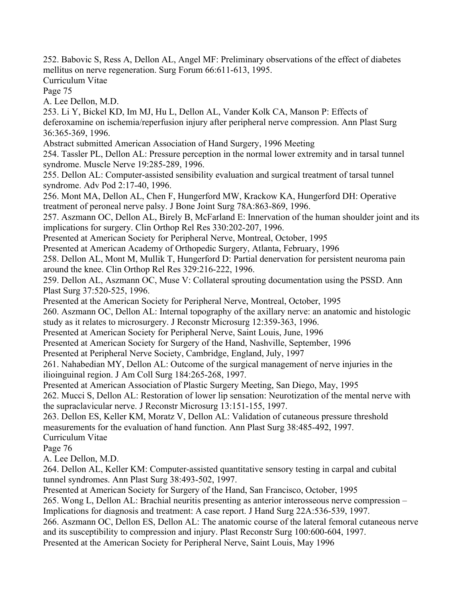252. Babovic S, Ress A, Dellon AL, Angel MF: Preliminary observations of the effect of diabetes mellitus on nerve regeneration. Surg Forum 66:611-613, 1995.

Curriculum Vitae

Page 75

A. Lee Dellon, M.D.

253. Li Y, Bickel KD, Im MJ, Hu L, Dellon AL, Vander Kolk CA, Manson P: Effects of deferoxamine on ischemia/reperfusion injury after peripheral nerve compression. Ann Plast Surg 36:365-369, 1996.

Abstract submitted American Association of Hand Surgery, 1996 Meeting

254. Tassler PL, Dellon AL: Pressure perception in the normal lower extremity and in tarsal tunnel syndrome. Muscle Nerve 19:285-289, 1996.

255. Dellon AL: Computer-assisted sensibility evaluation and surgical treatment of tarsal tunnel syndrome. Adv Pod 2:17-40, 1996.

256. Mont MA, Dellon AL, Chen F, Hungerford MW, Krackow KA, Hungerford DH: Operative treatment of peroneal nerve palsy. J Bone Joint Surg 78A:863-869, 1996.

257. Aszmann OC, Dellon AL, Birely B, McFarland E: Innervation of the human shoulder joint and its implications for surgery. Clin Orthop Rel Res 330:202-207, 1996.

Presented at American Society for Peripheral Nerve, Montreal, October, 1995

Presented at American Academy of Orthopedic Surgery, Atlanta, February, 1996

258. Dellon AL, Mont M, Mullik T, Hungerford D: Partial denervation for persistent neuroma pain around the knee. Clin Orthop Rel Res 329:216-222, 1996.

259. Dellon AL, Aszmann OC, Muse V: Collateral sprouting documentation using the PSSD. Ann Plast Surg 37:520-525, 1996.

Presented at the American Society for Peripheral Nerve, Montreal, October, 1995

260. Aszmann OC, Dellon AL: Internal topography of the axillary nerve: an anatomic and histologic study as it relates to microsurgery. J Reconstr Microsurg 12:359-363, 1996.

Presented at American Society for Peripheral Nerve, Saint Louis, June, 1996

Presented at American Society for Surgery of the Hand, Nashville, September, 1996

Presented at Peripheral Nerve Society, Cambridge, England, July, 1997

261. Nahabedian MY, Dellon AL: Outcome of the surgical management of nerve injuries in the ilioinguinal region. J Am Coll Surg 184:265-268, 1997.

Presented at American Association of Plastic Surgery Meeting, San Diego, May, 1995

262. Mucci S, Dellon AL: Restoration of lower lip sensation: Neurotization of the mental nerve with the supraclavicular nerve. J Reconstr Microsurg 13:151-155, 1997.

263. Dellon ES, Keller KM, Moratz V, Dellon AL: Validation of cutaneous pressure threshold measurements for the evaluation of hand function. Ann Plast Surg 38:485-492, 1997.

Curriculum Vitae

Page 76

A. Lee Dellon, M.D.

264. Dellon AL, Keller KM: Computer-assisted quantitative sensory testing in carpal and cubital tunnel syndromes. Ann Plast Surg 38:493-502, 1997.

Presented at American Society for Surgery of the Hand, San Francisco, October, 1995

265. Wong L, Dellon AL: Brachial neuritis presenting as anterior interosseous nerve compression – Implications for diagnosis and treatment: A case report. J Hand Surg 22A:536-539, 1997.

266. Aszmann OC, Dellon ES, Dellon AL: The anatomic course of the lateral femoral cutaneous nerve and its susceptibility to compression and injury. Plast Reconstr Surg 100:600-604, 1997.

Presented at the American Society for Peripheral Nerve, Saint Louis, May 1996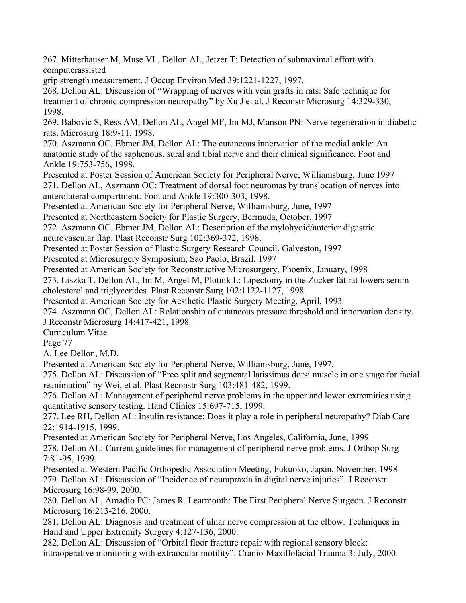267. Mitterhauser M, Muse VL, Dellon AL, Jetzer T: Detection of submaximal effort with computerassisted

grip strength measurement. J Occup Environ Med 39:1221-1227, 1997.

268. Dellon AL: Discussion of "Wrapping of nerves with vein grafts in rats: Safe technique for treatment of chronic compression neuropathy" by Xu J et al. J Reconstr Microsurg 14:329-330, 1998.

269. Babovic S, Ress AM, Dellon AL, Angel MF, Im MJ, Manson PN: Nerve regeneration in diabetic rats. Microsurg 18:9-11, 1998.

270. Aszmann OC, Ebmer JM, Dellon AL: The cutaneous innervation of the medial ankle: An anatomic study of the saphenous, sural and tibial nerve and their clinical significance. Foot and Ankle 19:753-756, 1998.

Presented at Poster Session of American Society for Peripheral Nerve, Williamsburg, June 1997 271. Dellon AL, Aszmann OC: Treatment of dorsal foot neuromas by translocation of nerves into anterolateral compartment. Foot and Ankle 19:300-303, 1998.

Presented at American Society for Peripheral Nerve, Williamsburg, June, 1997

Presented at Northeastern Society for Plastic Surgery, Bermuda, October, 1997

272. Aszmann OC, Ebmer JM, Dellon AL: Description of the mylohyoid/anterior digastric

neurovascular flap. Plast Reconstr Surg 102:369-372, 1998.

Presented at Poster Session of Plastic Surgery Research Council, Galveston, 1997

Presented at Microsurgery Symposium, Sao Paolo, Brazil, 1997

Presented at American Society for Reconstructive Microsurgery, Phoenix, January, 1998

273. Liszka T, Dellon AL, Im M, Angel M, Plotnik L: Lipectomy in the Zucker fat rat lowers serum cholesterol and triglycerides. Plast Reconstr Surg 102:1122-1127, 1998.

Presented at American Society for Aesthetic Plastic Surgery Meeting, April, 1993

274. Aszmann OC, Dellon AL: Relationship of cutaneous pressure threshold and innervation density. J Reconstr Microsurg 14:417-421, 1998.

Curriculum Vitae

Page 77

A. Lee Dellon, M.D.

Presented at American Society for Peripheral Nerve, Williamsburg, June, 1997.

275. Dellon AL: Discussion of "Free split and segmental latissimus dorsi muscle in one stage for facial reanimation" by Wei, et al. Plast Reconstr Surg 103:481-482, 1999.

276. Dellon AL: Management of peripheral nerve problems in the upper and lower extremities using quantitative sensory testing. Hand Clinics 15:697-715, 1999.

277. Lee RH, Dellon AL: Insulin resistance: Does it play a role in peripheral neuropathy? Diab Care 22:1914-1915, 1999.

Presented at American Society for Peripheral Nerve, Los Angeles, California, June, 1999 278. Dellon AL: Current guidelines for management of peripheral nerve problems. J Orthop Surg 7:81-95, 1999.

Presented at Western Pacific Orthopedic Association Meeting, Fukuoko, Japan, November, 1998 279. Dellon AL: Discussion of "Incidence of neurapraxia in digital nerve injuries". J Reconstr Microsurg 16:98-99, 2000.

280. Dellon AL, Amadio PC: James R. Learmonth: The First Peripheral Nerve Surgeon. J Reconstr Microsurg 16:213-216, 2000.

281. Dellon AL: Diagnosis and treatment of ulnar nerve compression at the elbow. Techniques in Hand and Upper Extremity Surgery 4:127-136, 2000.

282. Dellon AL: Discussion of "Orbital floor fracture repair with regional sensory block: intraoperative monitoring with extraocular motility". Cranio-Maxillofacial Trauma 3: July, 2000.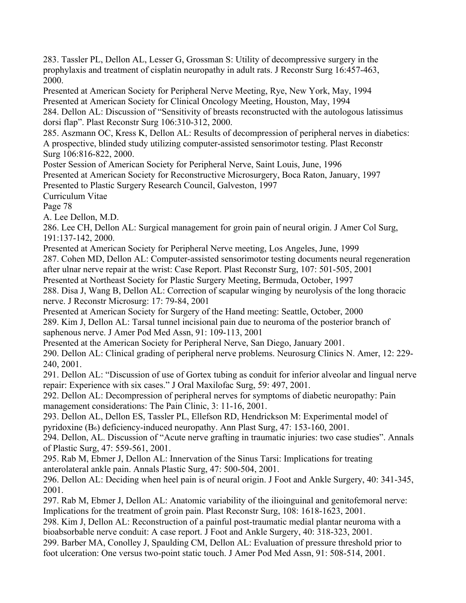283. Tassler PL, Dellon AL, Lesser G, Grossman S: Utility of decompressive surgery in the prophylaxis and treatment of cisplatin neuropathy in adult rats. J Reconstr Surg 16:457-463, 2000.

Presented at American Society for Peripheral Nerve Meeting, Rye, New York, May, 1994 Presented at American Society for Clinical Oncology Meeting, Houston, May, 1994 284. Dellon AL: Discussion of "Sensitivity of breasts reconstructed with the autologous latissimus

dorsi flap". Plast Reconstr Surg 106:310-312, 2000.

285. Aszmann OC, Kress K, Dellon AL: Results of decompression of peripheral nerves in diabetics: A prospective, blinded study utilizing computer-assisted sensorimotor testing. Plast Reconstr Surg 106:816-822, 2000.

Poster Session of American Society for Peripheral Nerve, Saint Louis, June, 1996

Presented at American Society for Reconstructive Microsurgery, Boca Raton, January, 1997

Presented to Plastic Surgery Research Council, Galveston, 1997

Curriculum Vitae

Page 78

A. Lee Dellon, M.D.

286. Lee CH, Dellon AL: Surgical management for groin pain of neural origin. J Amer Col Surg, 191:137-142, 2000.

Presented at American Society for Peripheral Nerve meeting, Los Angeles, June, 1999

287. Cohen MD, Dellon AL: Computer-assisted sensorimotor testing documents neural regeneration after ulnar nerve repair at the wrist: Case Report. Plast Reconstr Surg, 107: 501-505, 2001

Presented at Northeast Society for Plastic Surgery Meeting, Bermuda, October, 1997

288. Disa J, Wang B, Dellon AL: Correction of scapular winging by neurolysis of the long thoracic nerve. J Reconstr Microsurg: 17: 79-84, 2001

Presented at American Society for Surgery of the Hand meeting: Seattle, October, 2000 289. Kim J, Dellon AL: Tarsal tunnel incisional pain due to neuroma of the posterior branch of saphenous nerve. J Amer Pod Med Assn, 91: 109-113, 2001

Presented at the American Society for Peripheral Nerve, San Diego, January 2001.

290. Dellon AL: Clinical grading of peripheral nerve problems. Neurosurg Clinics N. Amer, 12: 229- 240, 2001.

291. Dellon AL: "Discussion of use of Gortex tubing as conduit for inferior alveolar and lingual nerve repair: Experience with six cases." J Oral Maxilofac Surg, 59: 497, 2001.

292. Dellon AL: Decompression of peripheral nerves for symptoms of diabetic neuropathy: Pain management considerations: The Pain Clinic, 3: 11-16, 2001.

293. Dellon AL, Dellon ES, Tassler PL, Ellefson RD, Hendrickson M: Experimental model of pyridoxine (B6) deficiency-induced neuropathy. Ann Plast Surg, 47: 153-160, 2001.

294. Dellon, AL. Discussion of "Acute nerve grafting in traumatic injuries: two case studies". Annals of Plastic Surg, 47: 559-561, 2001.

295. Rab M, Ebmer J, Dellon AL: Innervation of the Sinus Tarsi: Implications for treating anterolateral ankle pain. Annals Plastic Surg, 47: 500-504, 2001.

296. Dellon AL: Deciding when heel pain is of neural origin. J Foot and Ankle Surgery, 40: 341-345, 2001.

297. Rab M, Ebmer J, Dellon AL: Anatomic variability of the ilioinguinal and genitofemoral nerve: Implications for the treatment of groin pain. Plast Reconstr Surg, 108: 1618-1623, 2001.

298. Kim J, Dellon AL: Reconstruction of a painful post-traumatic medial plantar neuroma with a bioabsorbable nerve conduit: A case report. J Foot and Ankle Surgery, 40: 318-323, 2001.

299. Barber MA, Conolley J, Spaulding CM, Dellon AL: Evaluation of pressure threshold prior to foot ulceration: One versus two-point static touch. J Amer Pod Med Assn, 91: 508-514, 2001.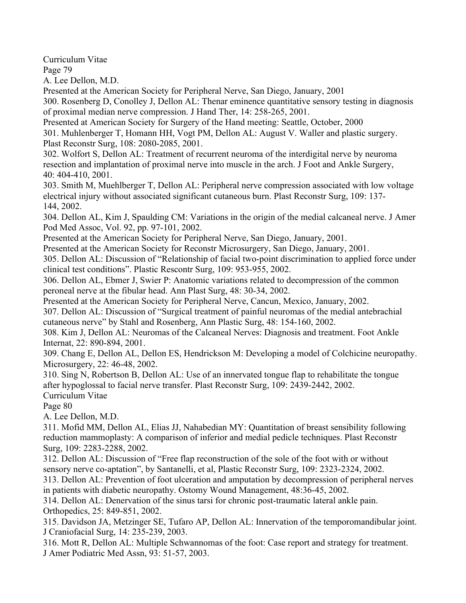Curriculum Vitae

Page 79

A. Lee Dellon, M.D.

Presented at the American Society for Peripheral Nerve, San Diego, January, 2001

300. Rosenberg D, Conolley J, Dellon AL: Thenar eminence quantitative sensory testing in diagnosis of proximal median nerve compression. J Hand Ther, 14: 258-265, 2001.

Presented at American Society for Surgery of the Hand meeting: Seattle, October, 2000

301. Muhlenberger T, Homann HH, Vogt PM, Dellon AL: August V. Waller and plastic surgery. Plast Reconstr Surg, 108: 2080-2085, 2001.

302. Wolfort S, Dellon AL: Treatment of recurrent neuroma of the interdigital nerve by neuroma resection and implantation of proximal nerve into muscle in the arch. J Foot and Ankle Surgery, 40: 404-410, 2001.

303. Smith M, Muehlberger T, Dellon AL: Peripheral nerve compression associated with low voltage electrical injury without associated significant cutaneous burn. Plast Reconstr Surg, 109: 137- 144, 2002.

304. Dellon AL, Kim J, Spaulding CM: Variations in the origin of the medial calcaneal nerve. J Amer Pod Med Assoc, Vol. 92, pp. 97-101, 2002.

Presented at the American Society for Peripheral Nerve, San Diego, January, 2001.

Presented at the American Society for Reconstr Microsurgery, San Diego, January, 2001.

305. Dellon AL: Discussion of "Relationship of facial two-point discrimination to applied force under clinical test conditions". Plastic Rescontr Surg, 109: 953-955, 2002.

306. Dellon AL, Ebmer J, Swier P: Anatomic variations related to decompression of the common peroneal nerve at the fibular head. Ann Plast Surg, 48: 30-34, 2002.

Presented at the American Society for Peripheral Nerve, Cancun, Mexico, January, 2002.

307. Dellon AL: Discussion of "Surgical treatment of painful neuromas of the medial antebrachial cutaneous nerve" by Stahl and Rosenberg, Ann Plastic Surg, 48: 154-160, 2002.

308. Kim J, Dellon AL: Neuromas of the Calcaneal Nerves: Diagnosis and treatment. Foot Ankle Internat, 22: 890-894, 2001.

309. Chang E, Dellon AL, Dellon ES, Hendrickson M: Developing a model of Colchicine neuropathy. Microsurgery, 22: 46-48, 2002.

310. Sing N, Robertson B, Dellon AL: Use of an innervated tongue flap to rehabilitate the tongue after hypoglossal to facial nerve transfer. Plast Reconstr Surg, 109: 2439-2442, 2002.

Curriculum Vitae

Page 80

A. Lee Dellon, M.D.

311. Mofid MM, Dellon AL, Elias JJ, Nahabedian MY: Quantitation of breast sensibility following reduction mammoplasty: A comparison of inferior and medial pedicle techniques. Plast Reconstr Surg, 109: 2283-2288, 2002.

312. Dellon AL: Discussion of "Free flap reconstruction of the sole of the foot with or without sensory nerve co-aptation", by Santanelli, et al, Plastic Reconstr Surg, 109: 2323-2324, 2002.

313. Dellon AL: Prevention of foot ulceration and amputation by decompression of peripheral nerves in patients with diabetic neuropathy. Ostomy Wound Management, 48:36-45, 2002.

314. Dellon AL: Denervation of the sinus tarsi for chronic post-traumatic lateral ankle pain. Orthopedics, 25: 849-851, 2002.

315. Davidson JA, Metzinger SE, Tufaro AP, Dellon AL: Innervation of the temporomandibular joint. J Craniofacial Surg, 14: 235-239, 2003.

316. Mott R, Dellon AL: Multiple Schwannomas of the foot: Case report and strategy for treatment. J Amer Podiatric Med Assn, 93: 51-57, 2003.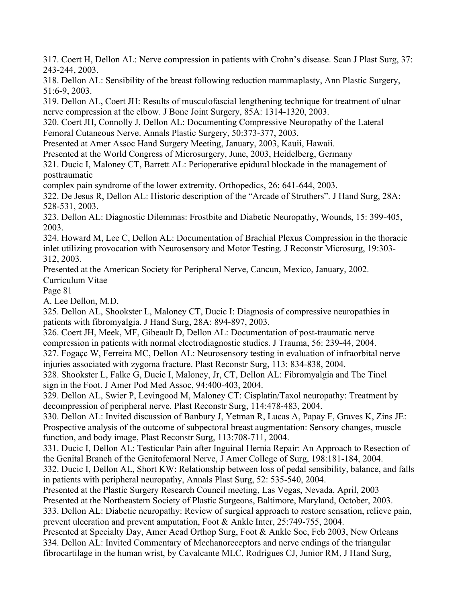317. Coert H, Dellon AL: Nerve compression in patients with Crohn's disease. Scan J Plast Surg, 37: 243-244, 2003.

318. Dellon AL: Sensibility of the breast following reduction mammaplasty, Ann Plastic Surgery, 51:6-9, 2003.

319. Dellon AL, Coert JH: Results of musculofascial lengthening technique for treatment of ulnar nerve compression at the elbow. J Bone Joint Surgery, 85A: 1314-1320, 2003.

320. Coert JH, Connolly J, Dellon AL: Documenting Compressive Neuropathy of the Lateral Femoral Cutaneous Nerve. Annals Plastic Surgery, 50:373-377, 2003.

Presented at Amer Assoc Hand Surgery Meeting, January, 2003, Kauii, Hawaii.

Presented at the World Congress of Microsurgery, June, 2003, Heidelberg, Germany

321. Ducic I, Maloney CT, Barrett AL: Perioperative epidural blockade in the management of posttraumatic

complex pain syndrome of the lower extremity. Orthopedics, 26: 641-644, 2003.

322. De Jesus R, Dellon AL: Historic description of the "Arcade of Struthers". J Hand Surg, 28A: 528-531, 2003.

323. Dellon AL: Diagnostic Dilemmas: Frostbite and Diabetic Neuropathy, Wounds, 15: 399-405, 2003.

324. Howard M, Lee C, Dellon AL: Documentation of Brachial Plexus Compression in the thoracic inlet utilizing provocation with Neurosensory and Motor Testing. J Reconstr Microsurg, 19:303- 312, 2003.

Presented at the American Society for Peripheral Nerve, Cancun, Mexico, January, 2002. Curriculum Vitae

Page 81

A. Lee Dellon, M.D.

325. Dellon AL, Shookster L, Maloney CT, Ducic I: Diagnosis of compressive neuropathies in patients with fibromyalgia. J Hand Surg, 28A: 894-897, 2003.

326. Coert JH, Meek, MF, Gibeault D, Dellon AL: Documentation of post-traumatic nerve compression in patients with normal electrodiagnostic studies. J Trauma, 56: 239-44, 2004. 327. Fogaçc W, Ferreira MC, Dellon AL: Neurosensory testing in evaluation of infraorbital nerve injuries associated with zygoma fracture. Plast Reconstr Surg, 113: 834-838, 2004.

328. Shookster L, Falke G, Ducic I, Maloney, Jr, CT, Dellon AL: Fibromyalgia and The Tinel sign in the Foot. J Amer Pod Med Assoc, 94:400-403, 2004.

329. Dellon AL, Swier P, Levingood M, Maloney CT: Cisplatin/Taxol neuropathy: Treatment by decompression of peripheral nerve. Plast Reconstr Surg, 114:478-483, 2004.

330. Dellon AL: Invited discussion of Banbury J, Yetman R, Lucas A, Papay F, Graves K, Zins JE: Prospective analysis of the outcome of subpectoral breast augmentation: Sensory changes, muscle function, and body image, Plast Reconstr Surg, 113:708-711, 2004.

331. Ducic I, Dellon AL: Testicular Pain after Inguinal Hernia Repair: An Approach to Resection of the Genital Branch of the Genitofemoral Nerve, J Amer College of Surg, 198:181-184, 2004.

332. Ducic I, Dellon AL, Short KW: Relationship between loss of pedal sensibility, balance, and falls in patients with peripheral neuropathy, Annals Plast Surg, 52: 535-540, 2004.

Presented at the Plastic Surgery Research Council meeting, Las Vegas, Nevada, April, 2003 Presented at the Northeastern Society of Plastic Surgeons, Baltimore, Maryland, October, 2003. 333. Dellon AL: Diabetic neuropathy: Review of surgical approach to restore sensation, relieve pain, prevent ulceration and prevent amputation, Foot & Ankle Inter, 25:749-755, 2004.

Presented at Specialty Day, Amer Acad Orthop Surg, Foot & Ankle Soc, Feb 2003, New Orleans 334. Dellon AL: Invited Commentary of Mechanoreceptors and nerve endings of the triangular fibrocartilage in the human wrist, by Cavalcante MLC, Rodrigues CJ, Junior RM, J Hand Surg,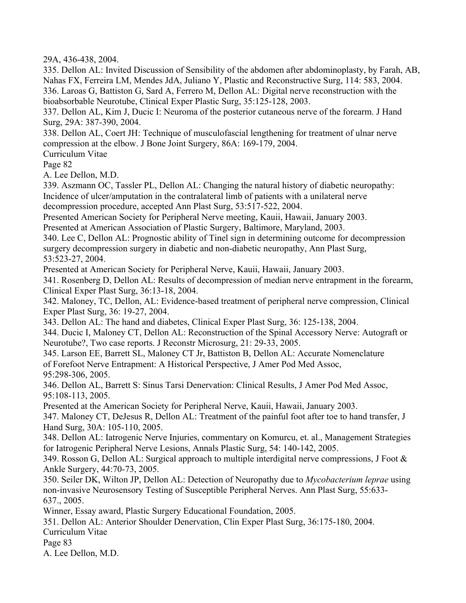29A, 436-438, 2004.

335. Dellon AL: Invited Discussion of Sensibility of the abdomen after abdominoplasty, by Farah, AB, Nahas FX, Ferreira LM, Mendes JdA, Juliano Y, Plastic and Reconstructive Surg, 114: 583, 2004. 336. Laroas G, Battiston G, Sard A, Ferrero M, Dellon AL: Digital nerve reconstruction with the bioabsorbable Neurotube, Clinical Exper Plastic Surg, 35:125-128, 2003.

337. Dellon AL, Kim J, Ducic I: Neuroma of the posterior cutaneous nerve of the forearm. J Hand Surg, 29A: 387-390, 2004.

338. Dellon AL, Coert JH: Technique of musculofascial lengthening for treatment of ulnar nerve compression at the elbow. J Bone Joint Surgery, 86A: 169-179, 2004.

Curriculum Vitae

Page 82

A. Lee Dellon, M.D.

339. Aszmann OC, Tassler PL, Dellon AL: Changing the natural history of diabetic neuropathy: Incidence of ulcer/amputation in the contralateral limb of patients with a unilateral nerve decompression procedure, accepted Ann Plast Surg, 53:517-522, 2004.

Presented American Society for Peripheral Nerve meeting, Kauii, Hawaii, January 2003.

Presented at American Association of Plastic Surgery, Baltimore, Maryland, 2003.

340. Lee C, Dellon AL: Prognostic ability of Tinel sign in determining outcome for decompression surgery decompression surgery in diabetic and non-diabetic neuropathy, Ann Plast Surg, 53:523-27, 2004.

Presented at American Society for Peripheral Nerve, Kauii, Hawaii, January 2003.

341. Rosenberg D, Dellon AL: Results of decompression of median nerve entrapment in the forearm, Clinical Exper Plast Surg, 36:13-18, 2004.

342. Maloney, TC, Dellon, AL: Evidence-based treatment of peripheral nerve compression, Clinical Exper Plast Surg, 36: 19-27, 2004.

343. Dellon AL: The hand and diabetes, Clinical Exper Plast Surg, 36: 125-138, 2004.

344. Ducic I, Maloney CT, Dellon AL: Reconstruction of the Spinal Accessory Nerve: Autograft or Neurotube?, Two case reports. J Reconstr Microsurg, 21: 29-33, 2005.

345. Larson EE, Barrett SL, Maloney CT Jr, Battiston B, Dellon AL: Accurate Nomenclature of Forefoot Nerve Entrapment: A Historical Perspective, J Amer Pod Med Assoc, 95:298-306, 2005.

346. Dellon AL, Barrett S: Sinus Tarsi Denervation: Clinical Results, J Amer Pod Med Assoc, 95:108-113, 2005.

Presented at the American Society for Peripheral Nerve, Kauii, Hawaii, January 2003.

347. Maloney CT, DeJesus R, Dellon AL: Treatment of the painful foot after toe to hand transfer, J Hand Surg, 30A: 105-110, 2005.

348. Dellon AL: Iatrogenic Nerve Injuries, commentary on Komurcu, et. al., Management Strategies for Iatrogenic Peripheral Nerve Lesions, Annals Plastic Surg, 54: 140-142, 2005.

349. Rosson G, Dellon AL: Surgical approach to multiple interdigital nerve compressions, J Foot & Ankle Surgery, 44:70-73, 2005.

350. Seiler DK, Wilton JP, Dellon AL: Detection of Neuropathy due to *Mycobacterium leprae* using non-invasive Neurosensory Testing of Susceptible Peripheral Nerves. Ann Plast Surg, 55:633- 637., 2005.

Winner, Essay award, Plastic Surgery Educational Foundation, 2005.

351. Dellon AL: Anterior Shoulder Denervation, Clin Exper Plast Surg, 36:175-180, 2004. Curriculum Vitae

Page 83

A. Lee Dellon, M.D.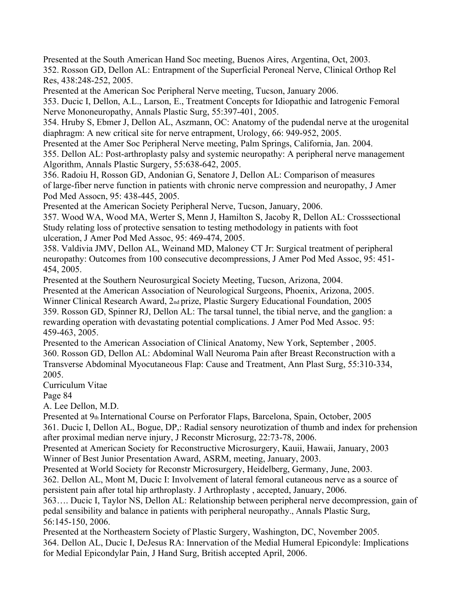Presented at the South American Hand Soc meeting, Buenos Aires, Argentina, Oct, 2003. 352. Rosson GD, Dellon AL: Entrapment of the Superficial Peroneal Nerve, Clinical Orthop Rel Res, 438:248-252, 2005.

Presented at the American Soc Peripheral Nerve meeting, Tucson, January 2006.

353. Ducic I, Dellon, A.L., Larson, E., Treatment Concepts for Idiopathic and Iatrogenic Femoral Nerve Mononeuropathy, Annals Plastic Surg, 55:397-401, 2005.

354. Hruby S, Ebmer J, Dellon AL, Aszmann, OC: Anatomy of the pudendal nerve at the urogenital diaphragm: A new critical site for nerve entrapment, Urology, 66: 949-952, 2005.

Presented at the Amer Soc Peripheral Nerve meeting, Palm Springs, California, Jan. 2004.

355. Dellon AL: Post-arthroplasty palsy and systemic neuropathy: A peripheral nerve management Algorithm, Annals Plastic Surgery, 55:638-642, 2005.

356. Radoiu H, Rosson GD, Andonian G, Senatore J, Dellon AL: Comparison of measures of large-fiber nerve function in patients with chronic nerve compression and neuropathy, J Amer Pod Med Assocn, 95: 438-445, 2005.

Presented at the American Society Peripheral Nerve, Tucson, January, 2006.

357. Wood WA, Wood MA, Werter S, Menn J, Hamilton S, Jacoby R, Dellon AL: Crosssectional Study relating loss of protective sensation to testing methodology in patients with foot ulceration, J Amer Pod Med Assoc, 95: 469-474, 2005.

358. Valdivia JMV, Dellon AL, Weinand MD, Maloney CT Jr: Surgical treatment of peripheral neuropathy: Outcomes from 100 consecutive decompressions, J Amer Pod Med Assoc, 95: 451- 454, 2005.

Presented at the Southern Neurosurgical Society Meeting, Tucson, Arizona, 2004.

Presented at the American Association of Neurological Surgeons, Phoenix, Arizona, 2005.

Winner Clinical Research Award, 2nd prize, Plastic Surgery Educational Foundation, 2005 359. Rosson GD, Spinner RJ, Dellon AL: The tarsal tunnel, the tibial nerve, and the ganglion: a rewarding operation with devastating potential complications. J Amer Pod Med Assoc. 95: 459-463, 2005.

Presented to the American Association of Clinical Anatomy, New York, September , 2005. 360. Rosson GD, Dellon AL: Abdominal Wall Neuroma Pain after Breast Reconstruction with a Transverse Abdominal Myocutaneous Flap: Cause and Treatment, Ann Plast Surg, 55:310-334, 2005.

Curriculum Vitae

Page 84

A. Lee Dellon, M.D.

Presented at 9th International Course on Perforator Flaps, Barcelona, Spain, October, 2005 361. Ducic I, Dellon AL, Bogue, DP,: Radial sensory neurotization of thumb and index for prehension after proximal median nerve injury, J Reconstr Microsurg, 22:73-78, 2006.

Presented at American Society for Reconstructive Microsurgery, Kauii, Hawaii, January, 2003 Winner of Best Junior Presentation Award, ASRM, meeting, January, 2003.

Presented at World Society for Reconstr Microsurgery, Heidelberg, Germany, June, 2003.

362. Dellon AL, Mont M, Ducic I: Involvement of lateral femoral cutaneous nerve as a source of persistent pain after total hip arthroplasty. J Arthroplasty , accepted, January, 2006.

363…. Ducic I, Taylor NS, Dellon AL: Relationship between peripheral nerve decompression, gain of pedal sensibility and balance in patients with peripheral neuropathy., Annals Plastic Surg, 56:145-150, 2006.

Presented at the Northeastern Society of Plastic Surgery, Washington, DC, November 2005. 364. Dellon AL, Ducic I, DeJesus RA: Innervation of the Medial Humeral Epicondyle: Implications for Medial Epicondylar Pain, J Hand Surg, British accepted April, 2006.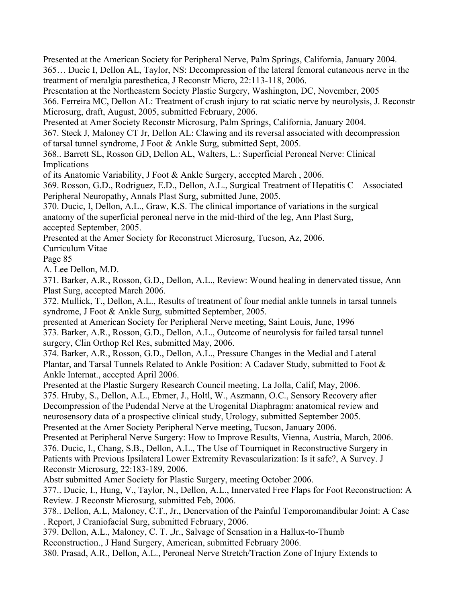Presented at the American Society for Peripheral Nerve, Palm Springs, California, January 2004. 365… Ducic I, Dellon AL, Taylor, NS: Decompression of the lateral femoral cutaneous nerve in the treatment of meralgia paresthetica, J Reconstr Micro, 22:113-118, 2006.

Presentation at the Northeastern Society Plastic Surgery, Washington, DC, November, 2005 366. Ferreira MC, Dellon AL: Treatment of crush injury to rat sciatic nerve by neurolysis, J. Reconstr Microsurg, draft, August, 2005, submitted February, 2006.

Presented at Amer Society Reconstr Microsurg, Palm Springs, California, January 2004. 367. Steck J, Maloney CT Jr, Dellon AL: Clawing and its reversal associated with decompression

of tarsal tunnel syndrome, J Foot & Ankle Surg, submitted Sept, 2005.

368.. Barrett SL, Rosson GD, Dellon AL, Walters, L.: Superficial Peroneal Nerve: Clinical Implications

of its Anatomic Variability, J Foot & Ankle Surgery, accepted March , 2006.

369. Rosson, G.D., Rodriguez, E.D., Dellon, A.L., Surgical Treatment of Hepatitis C – Associated Peripheral Neuropathy, Annals Plast Surg, submitted June, 2005.

370. Ducic, I, Dellon, A.L., Graw, K.S. The clinical importance of variations in the surgical anatomy of the superficial peroneal nerve in the mid-third of the leg, Ann Plast Surg, accepted September, 2005.

Presented at the Amer Society for Reconstruct Microsurg, Tucson, Az, 2006.

Curriculum Vitae

Page 85

A. Lee Dellon, M.D.

371. Barker, A.R., Rosson, G.D., Dellon, A.L., Review: Wound healing in denervated tissue, Ann Plast Surg, accepted March 2006.

372. Mullick, T., Dellon, A.L., Results of treatment of four medial ankle tunnels in tarsal tunnels syndrome, J Foot & Ankle Surg, submitted September, 2005.

presented at American Society for Peripheral Nerve meeting, Saint Louis, June, 1996

373. Barker, A.R., Rosson, G.D., Dellon, A.L., Outcome of neurolysis for failed tarsal tunnel surgery, Clin Orthop Rel Res, submitted May, 2006.

374. Barker, A.R., Rosson, G.D., Dellon, A.L., Pressure Changes in the Medial and Lateral Plantar, and Tarsal Tunnels Related to Ankle Position: A Cadaver Study, submitted to Foot & Ankle Internat., accepted April 2006.

Presented at the Plastic Surgery Research Council meeting, La Jolla, Calif, May, 2006.

375. Hruby, S., Dellon, A.L., Ebmer, J., Holtl, W., Aszmann, O.C., Sensory Recovery after Decompression of the Pudendal Nerve at the Urogenital Diaphragm: anatomical review and neurosensory data of a prospective clinical study, Urology, submitted September 2005. Presented at the Amer Society Peripheral Nerve meeting, Tucson, January 2006.

Presented at Peripheral Nerve Surgery: How to Improve Results, Vienna, Austria, March, 2006. 376. Ducic, I., Chang, S.B., Dellon, A.L., The Use of Tourniquet in Reconstructive Surgery in Patients with Previous Ipsilateral Lower Extremity Revascularization: Is it safe?, A Survey. J Reconstr Microsurg, 22:183-189, 2006.

Abstr submitted Amer Society for Plastic Surgery, meeting October 2006.

377.. Ducic, I., Hung, V., Taylor, N., Dellon, A.L., Innervated Free Flaps for Foot Reconstruction: A Review. J Reconstr Microsurg, submitted Feb, 2006.

378.. Dellon, A.L, Maloney, C.T., Jr., Denervation of the Painful Temporomandibular Joint: A Case . Report, J Craniofacial Surg, submitted February, 2006.

379. Dellon, A.L., Maloney, C. T. ,Jr., Salvage of Sensation in a Hallux-to-Thumb

Reconstruction., J Hand Surgery, American, submitted February 2006.

380. Prasad, A.R., Dellon, A.L., Peroneal Nerve Stretch/Traction Zone of Injury Extends to